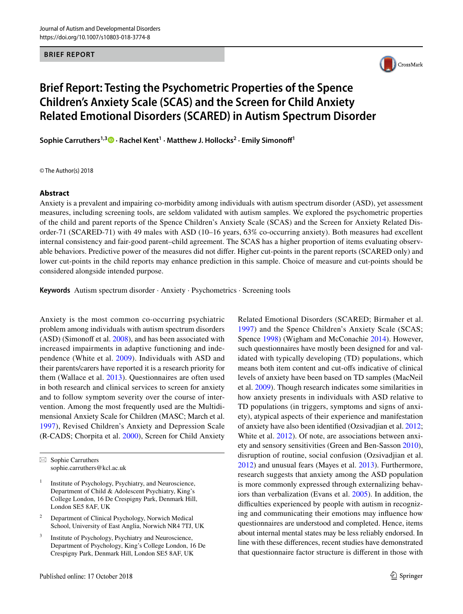**BRIEF REPORT**



# **Brief Report: Testing the Psychometric Properties of the Spence Children's Anxiety Scale (SCAS) and the Screen for Child Anxiety Related Emotional Disorders (SCARED) in Autism Spectrum Disorder**

**Sophie Carruthers1,3 · Rachel Kent1 · Matthew J. Hollocks2 · Emily Simonoff1**

© The Author(s) 2018

#### **Abstract**

Anxiety is a prevalent and impairing co-morbidity among individuals with autism spectrum disorder (ASD), yet assessment measures, including screening tools, are seldom validated with autism samples. We explored the psychometric properties of the child and parent reports of the Spence Children's Anxiety Scale (SCAS) and the Screen for Anxiety Related Disorder-71 (SCARED-71) with 49 males with ASD (10–16 years, 63% co-occurring anxiety). Both measures had excellent internal consistency and fair-good parent–child agreement. The SCAS has a higher proportion of items evaluating observable behaviors. Predictive power of the measures did not differ. Higher cut-points in the parent reports (SCARED only) and lower cut-points in the child reports may enhance prediction in this sample. Choice of measure and cut-points should be considered alongside intended purpose.

**Keywords** Autism spectrum disorder · Anxiety · Psychometrics · Screening tools

Anxiety is the most common co-occurring psychiatric problem among individuals with autism spectrum disorders (ASD) (Simonoff et al. [2008](#page-7-0)), and has been associated with increased impairments in adaptive functioning and independence (White et al. [2009\)](#page-7-1). Individuals with ASD and their parents/carers have reported it is a research priority for them (Wallace et al. [2013](#page-7-2)). Questionnaires are often used in both research and clinical services to screen for anxiety and to follow symptom severity over the course of intervention. Among the most frequently used are the Multidimensional Anxiety Scale for Children (MASC; March et al. [1997\)](#page-6-0), Revised Children's Anxiety and Depression Scale (R-CADS; Chorpita et al. [2000\)](#page-6-1), Screen for Child Anxiety

 $\boxtimes$  Sophie Carruthers sophie.carruthers@kcl.ac.uk

- <sup>1</sup> Institute of Psychology, Psychiatry, and Neuroscience, Department of Child & Adolescent Psychiatry, King's College London, 16 De Crespigny Park, Denmark Hill, London SE5 8AF, UK
- <sup>2</sup> Department of Clinical Psychology, Norwich Medical School, University of East Anglia, Norwich NR4 7TJ, UK
- Institute of Psychology, Psychiatry and Neuroscience, Department of Psychology, King's College London, 16 De Crespigny Park, Denmark Hill, London SE5 8AF, UK

Related Emotional Disorders (SCARED; Birmaher et al. [1997\)](#page-6-2) and the Spence Children's Anxiety Scale (SCAS; Spence [1998](#page-7-3)) (Wigham and McConachie [2014](#page-7-4)). However, such questionnaires have mostly been designed for and validated with typically developing (TD) populations, which means both item content and cut-offs indicative of clinical levels of anxiety have been based on TD samples (MacNeil et al. [2009](#page-6-3)). Though research indicates some similarities in how anxiety presents in individuals with ASD relative to TD populations (in triggers, symptoms and signs of anxiety), atypical aspects of their experience and manifestation of anxiety have also been identified (Ozsivadjian et al. [2012](#page-6-4); White et al. [2012](#page-7-5)). Of note, are associations between anxiety and sensory sensitivities (Green and Ben-Sasson [2010](#page-6-5)), disruption of routine, social confusion (Ozsivadjian et al. [2012](#page-6-4)) and unusual fears (Mayes et al. [2013\)](#page-6-6). Furthermore, research suggests that anxiety among the ASD population is more commonly expressed through externalizing behaviors than verbalization (Evans et al. [2005](#page-6-7)). In addition, the difficulties experienced by people with autism in recognizing and communicating their emotions may influence how questionnaires are understood and completed. Hence, items about internal mental states may be less reliably endorsed. In line with these differences, recent studies have demonstrated that questionnaire factor structure is different in those with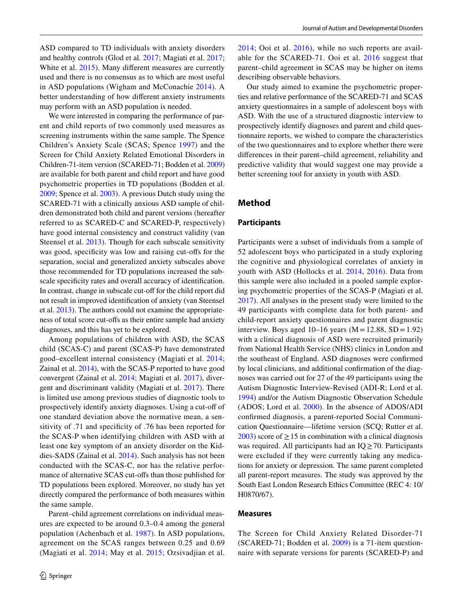ASD compared to TD individuals with anxiety disorders and healthy controls (Glod et al. [2017](#page-6-8); Magiati et al. [2017](#page-6-9); White et al. [2015\)](#page-7-6). Many different measures are currently used and there is no consensus as to which are most useful in ASD populations (Wigham and McConachie [2014\)](#page-7-4). A better understanding of how different anxiety instruments may perform with an ASD population is needed.

We were interested in comparing the performance of parent and child reports of two commonly used measures as screening instruments within the same sample. The Spence Children's Anxiety Scale (SCAS; Spence [1997\)](#page-7-7) and the Screen for Child Anxiety Related Emotional Disorders in Children-71-item version (SCARED-71; Bodden et al. [2009\)](#page-6-10) are available for both parent and child report and have good psychometric properties in TD populations (Bodden et al. [2009](#page-6-10); Spence et al. [2003\)](#page-7-8). A previous Dutch study using the SCARED-71 with a clinically anxious ASD sample of children demonstrated both child and parent versions (hereafter referred to as SCARED-C and SCARED-P, respectively) have good internal consistency and construct validity (van Steensel et al. [2013\)](#page-7-9). Though for each subscale sensitivity was good, specificity was low and raising cut-offs for the separation, social and generalized anxiety subscales above those recommended for TD populations increased the subscale specificity rates and overall accuracy of identification. In contrast, change in subscale cut-off for the child report did not result in improved identification of anxiety (van Steensel et al. [2013](#page-7-9)). The authors could not examine the appropriateness of total score cut-offs as their entire sample had anxiety diagnoses, and this has yet to be explored.

Among populations of children with ASD, the SCAS child (SCAS-C) and parent (SCAS-P) have demonstrated good–excellent internal consistency (Magiati et al. [2014](#page-6-11); Zainal et al. [2014](#page-7-10)), with the SCAS-P reported to have good convergent (Zainal et al. [2014](#page-7-10); Magiati et al. [2017\)](#page-6-9), divergent and discriminant validity (Magiati et al. [2017\)](#page-6-9). There is limited use among previous studies of diagnostic tools to prospectively identify anxiety diagnoses. Using a cut-off of one standard deviation above the normative mean, a sensitivity of .71 and specificity of .76 has been reported for the SCAS-P when identifying children with ASD with at least one key symptom of an anxiety disorder on the Kiddies-SADS (Zainal et al. [2014\)](#page-7-10). Such analysis has not been conducted with the SCAS-C, nor has the relative performance of alternative SCAS cut-offs than those published for TD populations been explored. Moreover, no study has yet directly compared the performance of both measures within the same sample.

Parent–child agreement correlations on individual measures are expected to be around 0.3–0.4 among the general population (Achenbach et al. [1987](#page-6-12)). In ASD populations, agreement on the SCAS ranges between 0.25 and 0.69 (Magiati et al. [2014;](#page-6-11) May et al. [2015;](#page-6-13) Ozsivadjian et al. [2014](#page-6-14); Ooi et al. [2016](#page-6-15)), while no such reports are available for the SCARED-71. Ooi et al. [2016](#page-6-15) suggest that parent–child agreement in SCAS may be higher on items describing observable behaviors.

Our study aimed to examine the psychometric properties and relative performance of the SCARED-71 and SCAS anxiety questionnaires in a sample of adolescent boys with ASD. With the use of a structured diagnostic interview to prospectively identify diagnoses and parent and child questionnaire reports, we wished to compare the characteristics of the two questionnaires and to explore whether there were differences in their parent–child agreement, reliability and predictive validity that would suggest one may provide a better screening tool for anxiety in youth with ASD.

## **Method**

#### **Participants**

Participants were a subset of individuals from a sample of 52 adolescent boys who participated in a study exploring the cognitive and physiological correlates of anxiety in youth with ASD (Hollocks et al. [2014](#page-6-16), [2016](#page-6-17)). Data from this sample were also included in a pooled sample exploring psychometric properties of the SCAS-P (Magiati et al. [2017](#page-6-9)). All analyses in the present study were limited to the 49 participants with complete data for both parent- and child-report anxiety questionnaires and parent diagnostic interview. Boys aged  $10-16$  years (M = 12.88, SD = 1.92) with a clinical diagnosis of ASD were recruited primarily from National Health Service (NHS) clinics in London and the southeast of England. ASD diagnoses were confirmed by local clinicians, and additional confirmation of the diagnoses was carried out for 27 of the 49 participants using the Autism Diagnostic Interview-Revised (ADI-R; Lord et al. [1994](#page-6-18)) and/or the Autism Diagnostic Observation Schedule (ADOS; Lord et al. [2000](#page-6-19)). In the absence of ADOS/ADI confirmed diagnosis, a parent-reported Social Communication Questionnaire—lifetime version (SCQ; Rutter et al. [2003](#page-7-11)) score of  $\geq$  15 in combination with a clinical diagnosis was required. All participants had an  $IQ \ge 70$ . Participants were excluded if they were currently taking any medications for anxiety or depression. The same parent completed all parent-report measures. The study was approved by the South East London Research Ethics Committee (REC 4: 10/ H0870/67).

#### **Measures**

The Screen for Child Anxiety Related Disorder-71 (SCARED-71; Bodden et al. [2009\)](#page-6-10) is a 71-item questionnaire with separate versions for parents (SCARED-P) and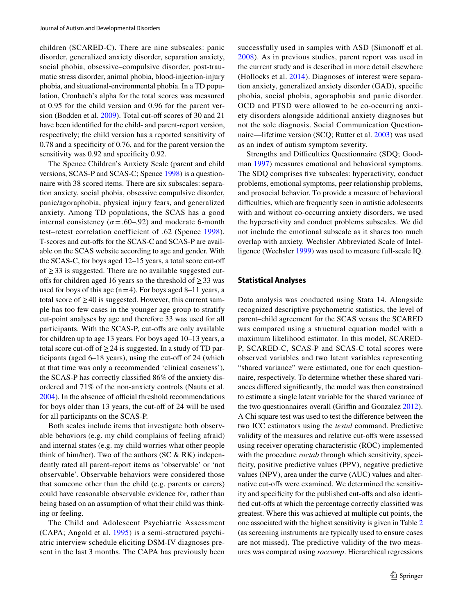children (SCARED-C). There are nine subscales: panic disorder, generalized anxiety disorder, separation anxiety, social phobia, obsessive–compulsive disorder, post-traumatic stress disorder, animal phobia, blood-injection-injury phobia, and situational-environmental phobia. In a TD population, Cronbach's alpha for the total scores was measured at 0.95 for the child version and 0.96 for the parent version (Bodden et al. [2009\)](#page-6-10). Total cut-off scores of 30 and 21 have been identified for the child- and parent-report version, respectively; the child version has a reported sensitivity of 0.78 and a specificity of 0.76, and for the parent version the sensitivity was 0.92 and specificity 0.92.

The Spence Children's Anxiety Scale (parent and child versions, SCAS-P and SCAS-C; Spence [1998](#page-7-3)) is a questionnaire with 38 scored items. There are six subscales: separation anxiety, social phobia, obsessive compulsive disorder, panic/agoraphobia, physical injury fears, and generalized anxiety. Among TD populations, the SCAS has a good internal consistency  $(\alpha = .60-.92)$  and moderate 6-month test–retest correlation coefficient of .62 (Spence [1998](#page-7-3)). T-scores and cut-offs for the SCAS-C and SCAS-P are available on the SCAS website according to age and gender. With the SCAS-C, for boys aged 12–15 years, a total score cut-off of ≥33 is suggested. There are no available suggested cutoffs for children aged 16 years so the threshold of  $\geq$  33 was used for boys of this age  $(n=4)$ . For boys aged 8–11 years, a total score of  $\geq$  40 is suggested. However, this current sample has too few cases in the younger age group to stratify cut-point analyses by age and therefore 33 was used for all participants. With the SCAS-P, cut-offs are only available for children up to age 13 years. For boys aged 10–13 years, a total score cut-off of  $\geq$  24 is suggested. In a study of TD participants (aged 6–18 years), using the cut-off of 24 (which at that time was only a recommended 'clinical caseness'), the SCAS-P has correctly classified 86% of the anxiety disordered and 71% of the non-anxiety controls (Nauta et al. [2004](#page-6-20)). In the absence of official threshold recommendations for boys older than 13 years, the cut-off of 24 will be used for all participants on the SCAS-P.

Both scales include items that investigate both observable behaviors (e.g. my child complains of feeling afraid) and internal states (e.g. my child worries what other people think of him/her). Two of the authors (SC  $& RK$ ) independently rated all parent-report items as 'observable' or 'not observable'. Observable behaviors were considered those that someone other than the child (e.g. parents or carers) could have reasonable observable evidence for, rather than being based on an assumption of what their child was thinking or feeling.

The Child and Adolescent Psychiatric Assessment (CAPA; Angold et al. [1995](#page-6-21)) is a semi-structured psychiatric interview schedule eliciting DSM-IV diagnoses present in the last 3 months. The CAPA has previously been successfully used in samples with ASD (Simonoff et al. [2008](#page-7-0)). As in previous studies, parent report was used in the current study and is described in more detail elsewhere (Hollocks et al. [2014\)](#page-6-16). Diagnoses of interest were separation anxiety, generalized anxiety disorder (GAD), specific phobia, social phobia, agoraphobia and panic disorder. OCD and PTSD were allowed to be co-occurring anxiety disorders alongside additional anxiety diagnoses but not the sole diagnosis. Social Communication Questionnaire—lifetime version (SCQ; Rutter et al. [2003\)](#page-7-11) was used as an index of autism symptom severity.

Strengths and Difficulties Questionnaire (SDQ; Goodman [1997\)](#page-6-22) measures emotional and behavioral symptoms. The SDQ comprises five subscales: hyperactivity, conduct problems, emotional symptoms, peer relationship problems, and prosocial behavior. To provide a measure of behavioral difficulties, which are frequently seen in autistic adolescents with and without co-occurring anxiety disorders, we used the hyperactivity and conduct problems subscales. We did not include the emotional subscale as it shares too much overlap with anxiety. Wechsler Abbreviated Scale of Intelligence (Wechsler [1999\)](#page-7-12) was used to measure full-scale IQ.

#### **Statistical Analyses**

Data analysis was conducted using Stata 14. Alongside recognized descriptive psychometric statistics, the level of parent–child agreement for the SCAS versus the SCARED was compared using a structural equation model with a maximum likelihood estimator. In this model, SCARED-P, SCARED-C, SCAS-P and SCAS-C total scores were observed variables and two latent variables representing "shared variance" were estimated, one for each questionnaire, respectively. To determine whether these shared variances differed significantly, the model was then constrained to estimate a single latent variable for the shared variance of the two questionnaires overall (Griffin and Gonzalez [2012](#page-6-23)). A Chi square test was used to test the difference between the two ICC estimators using the *testnl* command. Predictive validity of the measures and relative cut-offs were assessed using receiver operating characteristic (ROC) implemented with the procedure *roctab* through which sensitivity, specificity, positive predictive values (PPV), negative predictive values (NPV), area under the curve (AUC) values and alternative cut-offs were examined. We determined the sensitivity and specificity for the published cut-offs and also identified cut-offs at which the percentage correctly classified was greatest. Where this was achieved at multiple cut points, the one associated with the highest sensitivity is given in Table [2](#page-4-0) (as screening instruments are typically used to ensure cases are not missed). The predictive validity of the two measures was compared using *roccomp*. Hierarchical regressions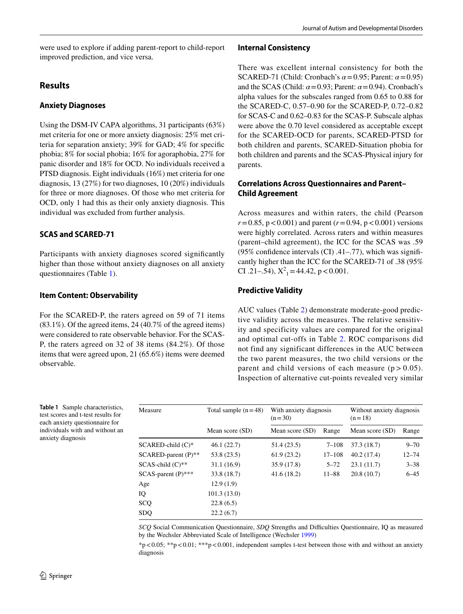were used to explore if adding parent-report to child-report improved prediction, and vice versa.

## **Results**

## **Anxiety Diagnoses**

Using the DSM-IV CAPA algorithms, 31 participants (63%) met criteria for one or more anxiety diagnosis: 25% met criteria for separation anxiety; 39% for GAD; 4% for specific phobia; 8% for social phobia; 16% for agoraphobia, 27% for panic disorder and 18% for OCD. No individuals received a PTSD diagnosis. Eight individuals (16%) met criteria for one diagnosis, 13 (27%) for two diagnoses, 10 (20%) individuals for three or more diagnoses. Of those who met criteria for OCD, only 1 had this as their only anxiety diagnosis. This individual was excluded from further analysis.

## **SCAS and SCARED‑71**

Participants with anxiety diagnoses scored significantly higher than those without anxiety diagnoses on all anxiety questionnaires (Table [1](#page-3-0)).

## **Item Content: Observability**

For the SCARED-P, the raters agreed on 59 of 71 items  $(83.1\%)$ . Of the agreed items, 24  $(40.7\%$  of the agreed items) were considered to rate observable behavior. For the SCAS-P, the raters agreed on 32 of 38 items (84.2%). Of those items that were agreed upon, 21 (65.6%) items were deemed observable.

#### **Internal Consistency**

There was excellent internal consistency for both the SCARED-71 (Child: Cronbach's *α*=0.95; Parent: *α*=0.95) and the SCAS (Child:  $\alpha$  = 0.93; Parent:  $\alpha$  = 0.94). Cronbach's alpha values for the subscales ranged from 0.65 to 0.88 for the SCARED-C, 0.57–0.90 for the SCARED-P, 0.72–0.82 for SCAS-C and 0.62–0.83 for the SCAS-P. Subscale alphas were above the 0.70 level considered as acceptable except for the SCARED-OCD for parents, SCARED-PTSD for both children and parents, SCARED-Situation phobia for both children and parents and the SCAS-Physical injury for parents.

## **Correlations Across Questionnaires and Parent– Child Agreement**

Across measures and within raters, the child (Pearson  $r = 0.85$ ,  $p < 0.001$ ) and parent ( $r = 0.94$ ,  $p < 0.001$ ) versions were highly correlated. Across raters and within measures (parent–child agreement), the ICC for the SCAS was .59 (95% confidence intervals (CI) .41–.77), which was significantly higher than the ICC for the SCARED-71 of .38 (95% CI .21–.54),  $X^2$ <sub>1</sub> = 44.42, p < 0.001.

# **Predictive Validity**

AUC values (Table [2](#page-4-0)) demonstrate moderate-good predictive validity across the measures. The relative sensitivity and specificity values are compared for the original and optimal cut-offs in Table [2](#page-4-0). ROC comparisons did not find any significant differences in the AUC between the two parent measures, the two child versions or the parent and child versions of each measure  $(p > 0.05)$ . Inspection of alternative cut-points revealed very similar

<span id="page-3-0"></span>**Table 1** Sample characteristics, test scores and t-test results for each anxiety questionnaire for individuals with and without an anxiety diagnosis

| Measure                      | Total sample $(n=48)$ | With anxiety diagnosis<br>$(n=30)$ |            | Without anxiety diagnosis<br>$(n=18)$ |           |
|------------------------------|-----------------------|------------------------------------|------------|---------------------------------------|-----------|
|                              | Mean score (SD)       | Mean score (SD)                    | Range      | Mean score (SD)                       | Range     |
| $SCARED$ -child $(C)*$       | 46.1(22.7)            | 51.4 (23.5)                        | $7 - 108$  | 37.3 (18.7)                           | $9 - 70$  |
| $SCARED\text{-}parent(P)$ ** | 53.8 (23.5)           | 61.9(23.2)                         | $17 - 108$ | 40.2(17.4)                            | $12 - 74$ |
| $SCAS$ -child $(C)$ **       | 31.1 (16.9)           | 35.9 (17.8)                        | $5 - 72$   | 23.1(11.7)                            | $3 - 38$  |
| $SCAS$ -parent $(P)$ ***     | 33.8 (18.7)           | 41.6(18.2)                         | $11 - 88$  | 20.8(10.7)                            | $6 - 45$  |
| Age                          | 12.9(1.9)             |                                    |            |                                       |           |
| IQ                           | 101.3(13.0)           |                                    |            |                                       |           |
| SCQ                          | 22.8(6.5)             |                                    |            |                                       |           |
| <b>SDO</b>                   | 22.2(6.7)             |                                    |            |                                       |           |

*SCQ* Social Communication Questionnaire, *SDQ* Strengths and Difficulties Questionnaire, IQ as measured by the Wechsler Abbreviated Scale of Intelligence (Wechsler [1999](#page-7-12))

 $\gamma$  < 0.05; \*\*p < 0.01; \*\*\*p < 0.001, independent samples t-test between those with and without an anxiety diagnosis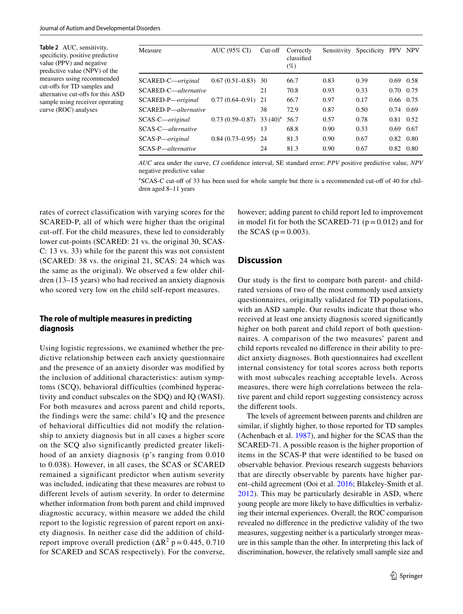<span id="page-4-0"></span>**Table 2** AUC, sensitivity, specificity, positive predictive value (PPV) and negative predictive value (NPV) of the measures using recommended cut-offs for TD samples and alternative cut-offs for this ASD sample using receiver operating curve (ROC) analyses

| Measure              | AUC (95% CI)           | $Cut-off$   | Correctly<br>classified<br>$(\%)$ | Sensitivity | Specificity PPV |                   | <b>NPV</b>        |
|----------------------|------------------------|-------------|-----------------------------------|-------------|-----------------|-------------------|-------------------|
| SCARED-C—original    | $0.67(0.51-0.83)$      | -30         | 66.7                              | 0.83        | 0.39            |                   | $0.69$ 0.58       |
| SCARED-C—alternative |                        | 21          | 70.8                              | 0.93        | 0.33            | $0.70 \quad 0.75$ |                   |
| SCARED-P-original    | $0.77(0.64 - 0.91)$ 21 |             | 66.7                              | 0.97        | 0.17            |                   | $0.66 \quad 0.75$ |
| SCARED-P—alternative |                        | 38          | 72.9                              | 0.87        | 0.50            | $0.74 \quad 0.69$ |                   |
| SCAS-C—original      | $0.73(0.59 - 0.87)$    | 33 $(40)^a$ | 56.7                              | 0.57        | 0.78            |                   | 0.81 0.52         |
| SCAS-C—alternative   |                        | 13          | 68.8                              | 0.90        | 0.33            | 0.69              | 0.67              |
| SCAS-P—original      | $0.84(0.73-0.95)$      | 24          | 81.3                              | 0.90        | 0.67            | 0.82              | 0.80              |
| SCAS-P—alternative   |                        | 24          | 81.3                              | 0.90        | 0.67            |                   | $0.82 \quad 0.80$ |

*AUC* area under the curve, *CI* confidence interval, SE standard error; *PPV* positive predictive value, *NPV* negative predictive value

a SCAS-C cut-off of 33 has been used for whole sample but there is a recommended cut-off of 40 for children aged 8–11 years

rates of correct classification with varying scores for the SCARED-P, all of which were higher than the original cut-off. For the child measures, these led to considerably lower cut-points (SCARED: 21 vs. the original 30, SCAS-C: 13 vs. 33) while for the parent this was not consistent (SCARED: 38 vs. the original 21, SCAS: 24 which was the same as the original). We observed a few older children (13–15 years) who had received an anxiety diagnosis who scored very low on the child self-report measures.

## **The role of multiple measures in predicting diagnosis**

Using logistic regressions, we examined whether the predictive relationship between each anxiety questionnaire and the presence of an anxiety disorder was modified by the inclusion of additional characteristics: autism symptoms (SCQ), behavioral difficulties (combined hyperactivity and conduct subscales on the SDQ) and IQ (WASI). For both measures and across parent and child reports, the findings were the same: child's IQ and the presence of behavioral difficulties did not modify the relationship to anxiety diagnosis but in all cases a higher score on the SCQ also significantly predicted greater likelihood of an anxiety diagnosis (p's ranging from 0.010 to 0.038). However, in all cases, the SCAS or SCARED remained a significant predictor when autism severity was included, indicating that these measures are robust to different levels of autism severity. In order to determine whether information from both parent and child improved diagnostic accuracy, within measure we added the child report to the logistic regression of parent report on anxiety diagnosis. In neither case did the addition of childreport improve overall prediction  $(\Delta R^2 p = 0.445, 0.710)$ for SCARED and SCAS respectively). For the converse,

however; adding parent to child report led to improvement in model fit for both the SCARED-71 ( $p = 0.012$ ) and for the SCAS ( $p = 0.003$ ).

#### **Discussion**

Our study is the first to compare both parent- and childrated versions of two of the most commonly used anxiety questionnaires, originally validated for TD populations, with an ASD sample. Our results indicate that those who received at least one anxiety diagnosis scored significantly higher on both parent and child report of both questionnaires. A comparison of the two measures' parent and child reports revealed no difference in their ability to predict anxiety diagnoses. Both questionnaires had excellent internal consistency for total scores across both reports with most subscales reaching acceptable levels. Across measures, there were high correlations between the relative parent and child report suggesting consistency across the different tools.

The levels of agreement between parents and children are similar, if slightly higher, to those reported for TD samples (Achenbach et al. [1987\)](#page-6-12), and higher for the SCAS than the SCARED-71. A possible reason is the higher proportion of items in the SCAS-P that were identified to be based on observable behavior. Previous research suggests behaviors that are directly observable by parents have higher parent–child agreement (Ooi et al. [2016;](#page-6-15) Blakeley-Smith et al. [2012\)](#page-6-24). This may be particularly desirable in ASD, where young people are more likely to have difficulties in verbalizing their internal experiences. Overall, the ROC comparison revealed no difference in the predictive validity of the two measures, suggesting neither is a particularly stronger measure in this sample than the other. In interpreting this lack of discrimination, however, the relatively small sample size and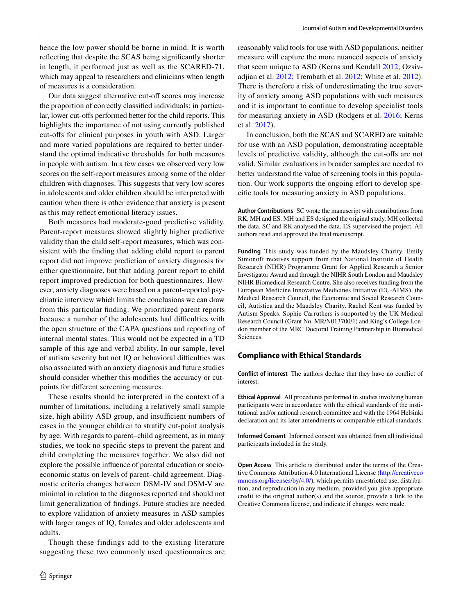hence the low power should be borne in mind. It is worth reflecting that despite the SCAS being significantly shorter in length, it performed just as well as the SCARED-71, which may appeal to researchers and clinicians when length of measures is a consideration.

Our data suggest alternative cut-off scores may increase the proportion of correctly classified individuals; in particular, lower cut-offs performed better for the child reports. This highlights the importance of not using currently published cut-offs for clinical purposes in youth with ASD. Larger and more varied populations are required to better understand the optimal indicative thresholds for both measures in people with autism. In a few cases we observed very low scores on the self-report measures among some of the older children with diagnoses. This suggests that very low scores in adolescents and older children should be interpreted with caution when there is other evidence that anxiety is present as this may reflect emotional literacy issues.

Both measures had moderate-good predictive validity. Parent-report measures showed slightly higher predictive validity than the child self-report measures, which was consistent with the finding that adding child report to parent report did not improve prediction of anxiety diagnosis for either questionnaire, but that adding parent report to child report improved prediction for both questionnaires. However, anxiety diagnoses were based on a parent-reported psychiatric interview which limits the conclusions we can draw from this particular finding. We prioritized parent reports because a number of the adolescents had difficulties with the open structure of the CAPA questions and reporting of internal mental states. This would not be expected in a TD sample of this age and verbal ability. In our sample, level of autism severity but not IQ or behavioral difficulties was also associated with an anxiety diagnosis and future studies should consider whether this modifies the accuracy or cutpoints for different screening measures.

These results should be interpreted in the context of a number of limitations, including a relatively small sample size, high ability ASD group, and insufficient numbers of cases in the younger children to stratify cut-point analysis by age. With regards to parent–child agreement, as in many studies, we took no specific steps to prevent the parent and child completing the measures together. We also did not explore the possible influence of parental education or socioeconomic status on levels of parent–child agreement. Diagnostic criteria changes between DSM-IV and DSM-V are minimal in relation to the diagnoses reported and should not limit generalization of findings. Future studies are needed to explore validation of anxiety measures in ASD samples with larger ranges of IQ, females and older adolescents and adults.

Though these findings add to the existing literature suggesting these two commonly used questionnaires are reasonably valid tools for use with ASD populations, neither measure will capture the more nuanced aspects of anxiety that seem unique to ASD (Kerns and Kendall [2012](#page-6-25); Ozsivadjian et al. [2012](#page-6-4); Trembath et al. [2012](#page-7-13); White et al. [2012](#page-7-5)). There is therefore a risk of underestimating the true severity of anxiety among ASD populations with such measures and it is important to continue to develop specialist tools for measuring anxiety in ASD (Rodgers et al. [2016](#page-6-26); Kerns et al. [2017](#page-6-27)).

In conclusion, both the SCAS and SCARED are suitable for use with an ASD population, demonstrating acceptable levels of predictive validity, although the cut-offs are not valid. Similar evaluations in broader samples are needed to better understand the value of screening tools in this population. Our work supports the ongoing effort to develop specific tools for measuring anxiety in ASD populations.

**Author Contributions** SC wrote the manuscript with contributions from RK, MH and ES. MH and ES designed the original study. MH collected the data. SC and RK analysed the data. ES supervised the project. All authors read and approved the final manuscript.

**Funding** This study was funded by the Maudsley Charity. Emily Simonoff receives support from that National Institute of Health Research (NIHR) Programme Grant for Applied Research a Senior Investigator Award and through the NIHR South London and Maudsley NIHR Biomedical Research Centre. She also receives funding from the European Medicine Innovative Medicines Initiative (EU-AIMS), the Medical Research Council, the Economic and Social Research Council, Autistica and the Maudsley Charity. Rachel Kent was funded by Autism Speaks. Sophie Carruthers is supported by the UK Medical Research Council (Grant No. MR/N013700/1) and King's College London member of the MRC Doctoral Training Partnership in Biomedical Sciences.

#### **Compliance with Ethical Standards**

**Conflict of interest** The authors declare that they have no conflict of interest.

**Ethical Approval** All procedures performed in studies involving human participants were in accordance with the ethical standards of the institutional and/or national research committee and with the 1964 Helsinki declaration and its later amendments or comparable ethical standards.

**Informed Consent** Informed consent was obtained from all individual participants included in the study.

**Open Access** This article is distributed under the terms of the Creative Commons Attribution 4.0 International License ([http://creativeco](http://creativecommons.org/licenses/by/4.0/) [mmons.org/licenses/by/4.0/](http://creativecommons.org/licenses/by/4.0/)), which permits unrestricted use, distribution, and reproduction in any medium, provided you give appropriate credit to the original author(s) and the source, provide a link to the Creative Commons license, and indicate if changes were made.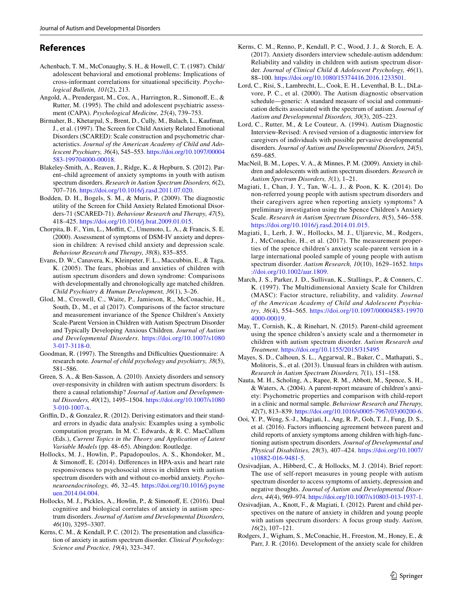## **References**

- <span id="page-6-12"></span>Achenbach, T. M., McConaughy, S. H., & Howell, C. T. (1987). Child/ adolescent behavioral and emotional problems: Implications of cross-informant correlations for situational specificity. *Psychological Bulletin, 101*(2), 213.
- <span id="page-6-21"></span>Angold, A., Prendergast, M., Cox, A., Harrington, R., Simonoff, E., & Rutter, M. (1995). The child and adolescent psychiatric assessment (CAPA). *Psychological Medicine, 25*(4), 739–753.
- <span id="page-6-2"></span>Birmaher, B., Khetarpal, S., Brent, D., Cully, M., Balach, L., Kaufman, J., et al. (1997). The Screen for Child Anxiety Related Emotional Disorders (SCARED): Scale construction and psychometric characteristics. *Journal of the American Academy of Child and Adolescent Psychiatry, 36*(4), 545–553. [https://doi.org/10.1097/00004](https://doi.org/10.1097/00004583-199704000-00018) [583-199704000-00018.](https://doi.org/10.1097/00004583-199704000-00018)
- <span id="page-6-24"></span>Blakeley-Smith, A., Reaven, J., Ridge, K., & Hepburn, S. (2012). Parent–child agreement of anxiety symptoms in youth with autism spectrum disorders. *Research in Autism Spectrum Disorders, 6*(2), 707–716. [https://doi.org/10.1016/j.rasd.2011.07.020.](https://doi.org/10.1016/j.rasd.2011.07.020)
- <span id="page-6-10"></span>Bodden, D. H., Bogels, S. M., & Muris, P. (2009). The diagnostic utility of the Screen for Child Anxiety Related Emotional Disorders-71 (SCARED-71). *Behaviour Research and Therapy, 47*(5), 418–425. [https://doi.org/10.1016/j.brat.2009.01.015.](https://doi.org/10.1016/j.brat.2009.01.015)
- <span id="page-6-1"></span>Chorpita, B. F., Yim, L., Moffitt, C., Umemoto, L. A., & Francis, S. E. (2000). Assessment of symptoms of DSM-IV anxiety and depression in children: A revised child anxiety and depression scale. *Behaviour Research and Therapy, 38*(8), 835–855.
- <span id="page-6-7"></span>Evans, D. W., Canavera, K., Kleinpeter, F. L., Maccubbin, E., & Taga, K. (2005). The fears, phobias and anxieties of children with autism spectrum disorders and down syndrome: Comparisons with developmentally and chronologically age matched children. *Child Psychiatry & Human Development, 36*(1), 3–26.
- <span id="page-6-8"></span>Glod, M., Creswell, C., Waite, P., Jamieson, R., McConachie, H., South, D., M., et al (2017). Comparisons of the factor structure and measurement invariance of the Spence Children's Anxiety Scale-Parent Version in Children with Autism Spectrum Disorder and Typically Developing Anxious Children. *Journal of Autism and Developmental Disorders*. [https://doi.org/10.1007/s1080](https://doi.org/10.1007/s10803-017-3118-0) [3-017-3118-0](https://doi.org/10.1007/s10803-017-3118-0).
- <span id="page-6-22"></span>Goodman, R. (1997). The Strengths and Difficulties Questionnaire: A research note. *Journal of child psychology and psychiatry, 38*(5), 581–586.
- <span id="page-6-5"></span>Green, S. A., & Ben-Sasson, A. (2010). Anxiety disorders and sensory over-responsivity in children with autism spectrum disorders: Is there a causal relationship? *Journal of Autism and Developmental Disorders, 40*(12), 1495–1504. [https://doi.org/10.1007/s1080](https://doi.org/10.1007/s10803-010-1007-x) [3-010-1007-x](https://doi.org/10.1007/s10803-010-1007-x).
- <span id="page-6-23"></span>Griffin, D., & Gonzalez, R. (2012). Deriving estimators and their standard errors in dyadic data analysis: Examples using a symbolic computation program. In M. C. Edwards, & R. C. MacCallum (Eds.), *Current Topics in the Theory and Application of Latent Variable Models* (pp. 48–65). Abingdon: Routledge.
- <span id="page-6-16"></span>Hollocks, M. J., Howlin, P., Papadopoulos, A. S., Khondoker, M., & Simonoff, E. (2014). Differences in HPA-axis and heart rate responsiveness to psychosocial stress in children with autism spectrum disorders with and without co-morbid anxiety. *Psychoneuroendocrinology, 46*, 32–45. [https://doi.org/10.1016/j.psyne](https://doi.org/10.1016/j.psyneuen.2014.04.004) [uen.2014.04.004.](https://doi.org/10.1016/j.psyneuen.2014.04.004)
- <span id="page-6-17"></span>Hollocks, M. J., Pickles, A., Howlin, P., & Simonoff, E. (2016). Dual cognitive and biological correlates of anxiety in autism spectrum disorders. *Journal of Autism and Developmental Disorders, 46*(10), 3295–3307.
- <span id="page-6-25"></span>Kerns, C. M., & Kendall, P. C. (2012). The presentation and classification of anxiety in autism spectrum disorder. *Clinical Psychology: Science and Practice, 19*(4), 323–347.
- <span id="page-6-27"></span>Kerns, C. M., Renno, P., Kendall, P. C., Wood, J. J., & Storch, E. A. (2017). Anxiety disorders interview schedule-autism addendum: Reliability and validity in children with autism spectrum disorder. *Journal of Clinical Child & Adolescent Psychology, 46*(1), 88–100.<https://doi.org/10.1080/15374416.2016.1233501>.
- <span id="page-6-19"></span>Lord, C., Risi, S., Lambrecht, L., Cook, E. H., Leventhal, B. L., DiLavore, P. C., et al. (2000). The Autism diagnostic observation schedule—generic: A standard measure of social and communication deficits associated with the spectrum of autism. *Journal of Autism and Developmental Disorders, 30*(3), 205–223.
- <span id="page-6-18"></span>Lord, C., Rutter, M., & Le Couteur, A. (1994). Autism Diagnostic Interview-Revised: A revised version of a diagnostic interview for caregivers of individuals with possible pervasive developmental disorders. *Journal of Autism and Developmental Disorders, 24*(5), 659–685.
- <span id="page-6-3"></span>MacNeil, B. M., Lopes, V. A., & Minnes, P. M. (2009). Anxiety in children and adolescents with autism spectrum disorders. *Research in Autism Spectrum Disorders, 3*(1), 1–21.
- <span id="page-6-11"></span>Magiati, I., Chan, J. Y., Tan, W.-L. J., & Poon, K. K. (2014). Do non-referred young people with autism spectrum disorders and their caregivers agree when reporting anxiety symptoms? A preliminary investigation using the Spence Children's Anxiety Scale. *Research in Autism Spectrum Disorders, 8*(5), 546–558. <https://doi.org/10.1016/j.rasd.2014.01.015>.
- <span id="page-6-9"></span>Magiati, I., Lerh, J. W., Hollocks, M. J., Uljarevic, M., Rodgers, J., McConachie, H., et al. (2017). The measurement properties of the spence children's anxiety scale-parent version in a large international pooled sample of young people with autism spectrum disorder. *Autism Research, 10*(10), 1629–1652. [https](https://doi.org/10.1002/aur.1809) [://doi.org/10.1002/aur.1809.](https://doi.org/10.1002/aur.1809)
- <span id="page-6-0"></span>March, J. S., Parker, J. D., Sullivan, K., Stallings, P., & Conners, C. K. (1997). The Multidimensional Anxiety Scale for Children (MASC): Factor structure, reliability, and validity. *Journal of the American Academy of Child and Adolescent Psychiatry, 36*(4), 554–565. [https://doi.org/10.1097/00004583-19970](https://doi.org/10.1097/00004583-199704000-00019) [4000-00019.](https://doi.org/10.1097/00004583-199704000-00019)
- <span id="page-6-13"></span>May, T., Cornish, K., & Rinehart, N. (2015). Parent-child agreement using the spence children's anxiety scale and a thermometer in children with autism spectrum disorder. *Autism Research and Treatment*. <https://doi.org/10.1155/2015/315495>
- <span id="page-6-6"></span>Mayes, S. D., Calhoun, S. L., Aggarwal, R., Baker, C., Mathapati, S., Molitoris, S., et al. (2013). Unusual fears in children with autism. *Research in Autism Spectrum Disorders, 7*(1), 151–158.
- <span id="page-6-20"></span>Nauta, M. H., Scholing, A., Rapee, R. M., Abbott, M., Spence, S. H., & Waters, A. (2004). A parent-report measure of children's anxiety: Psychometric properties and comparison with child-report in a clinic and normal sample. *Behaviour Research and Therapy, 42*(7), 813–839. [https://doi.org/10.1016/s0005-7967\(03\)00200-6](https://doi.org/10.1016/s0005-7967(03)00200-6).
- <span id="page-6-15"></span>Ooi, Y. P., Weng, S.-J., Magiati, I., Ang, R. P., Goh, T. J., Fung, D. S., et al. (2016). Factors influencing agreement between parent and child reports of anxiety symptoms among children with high-functioning autism spectrum disorders. *Journal of Developmental and Physical Disabilities, 28*(3), 407–424. [https://doi.org/10.1007/](https://doi.org/10.1007/s10882-016-9481-5) [s10882-016-9481-5.](https://doi.org/10.1007/s10882-016-9481-5)
- <span id="page-6-14"></span>Ozsivadjian, A., Hibberd, C., & Hollocks, M. J. (2014). Brief report: The use of self-report measures in young people with autism spectrum disorder to access symptoms of anxiety, depression and negative thoughts. *Journal of Autism and Developmental Disorders, 44*(4), 969–974.<https://doi.org/10.1007/s10803-013-1937-1>.
- <span id="page-6-4"></span>Ozsivadjian, A., Knott, F., & Magiati, I. (2012). Parent and child perspectives on the nature of anxiety in children and young people with autism spectrum disorders: A focus group study. *Autism, 16*(2), 107–121.
- <span id="page-6-26"></span>Rodgers, J., Wigham, S., McConachie, H., Freeston, M., Honey, E., & Parr, J. R. (2016). Development of the anxiety scale for children